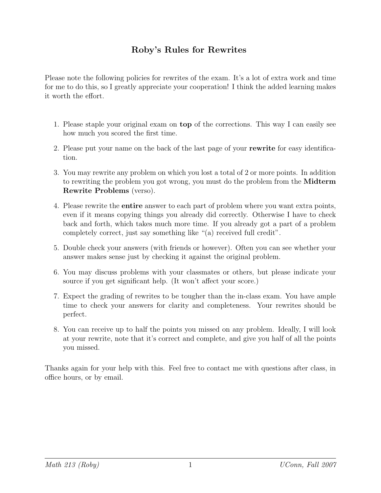## Roby's Rules for Rewrites

Please note the following policies for rewrites of the exam. It's a lot of extra work and time for me to do this, so I greatly appreciate your cooperation! I think the added learning makes it worth the effort.

- 1. Please staple your original exam on top of the corrections. This way I can easily see how much you scored the first time.
- 2. Please put your name on the back of the last page of your rewrite for easy identification.
- 3. You may rewrite any problem on which you lost a total of 2 or more points. In addition to rewriting the problem you got wrong, you must do the problem from the Midterm Rewrite Problems (verso).
- 4. Please rewrite the entire answer to each part of problem where you want extra points, even if it means copying things you already did correctly. Otherwise I have to check back and forth, which takes much more time. If you already got a part of a problem completely correct, just say something like "(a) received full credit".
- 5. Double check your answers (with friends or however). Often you can see whether your answer makes sense just by checking it against the original problem.
- 6. You may discuss problems with your classmates or others, but please indicate your source if you get significant help. (It won't affect your score.)
- 7. Expect the grading of rewrites to be tougher than the in-class exam. You have ample time to check your answers for clarity and completeness. Your rewrites should be perfect.
- 8. You can receive up to half the points you missed on any problem. Ideally, I will look at your rewrite, note that it's correct and complete, and give you half of all the points you missed.

Thanks again for your help with this. Feel free to contact me with questions after class, in office hours, or by email.